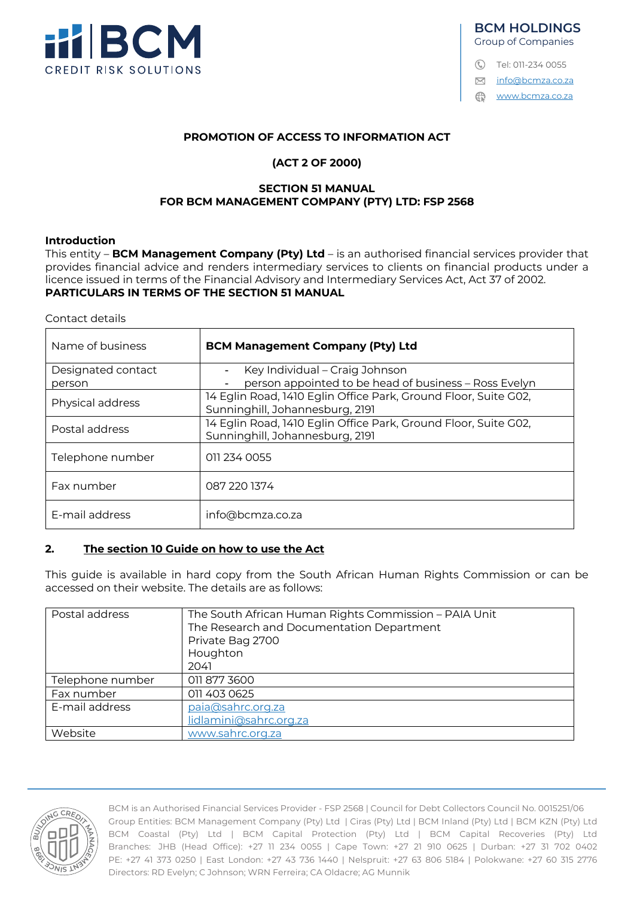

**BCM HOLDINGS** Group of Companies

C Tel: 011-234 0055

info@bcmza.co.za

www.bcmza.co.za

### **PROMOTION OF ACCESS TO INFORMATION ACT**

### **(ACT 2 OF 2000)**

#### **SECTION 51 MANUAL FOR BCM MANAGEMENT COMPANY (PTY) LTD: FSP 2568**

#### **Introduction**

This entity – **BCM Management Company (Pty) Ltd** – is an authorised financial services provider that provides financial advice and renders intermediary services to clients on financial products under a licence issued in terms of the Financial Advisory and Intermediary Services Act, Act 37 of 2002. **PARTICULARS IN TERMS OF THE SECTION 51 MANUAL**

#### Contact details

| Name of business   | <b>BCM Management Company (Pty) Ltd</b>                                                            |
|--------------------|----------------------------------------------------------------------------------------------------|
| Designated contact | Key Individual – Craig Johnson                                                                     |
| person             | person appointed to be head of business - Ross Evelyn<br>$\overline{\phantom{a}}$                  |
| Physical address   | 14 Eglin Road, 1410 Eglin Office Park, Ground Floor, Suite G02,<br>Sunninghill, Johannesburg, 2191 |
| Postal address     | 14 Eglin Road, 1410 Eglin Office Park, Ground Floor, Suite G02,<br>Sunninghill, Johannesburg, 2191 |
| Telephone number   | 011 234 0055                                                                                       |
| Fax number         | 087 220 1374                                                                                       |
| E-mail address     | info@bcmza.co.za                                                                                   |

#### **2. The section 10 Guide on how to use the Act**

This guide is available in hard copy from the South African Human Rights Commission or can be accessed on their website. The details are as follows:

| Postal address   | The South African Human Rights Commission - PAIA Unit |
|------------------|-------------------------------------------------------|
|                  | The Research and Documentation Department             |
|                  | Private Bag 2700                                      |
|                  | Houghton                                              |
|                  | 2041                                                  |
| Telephone number | 011 877 3600                                          |
| Fax number       | 011 403 0625                                          |
| E-mail address   | paja@sahrc.org.za                                     |
|                  | lidlamini@sahrc.org.za                                |
| Website          | www.sahrc.org.za                                      |

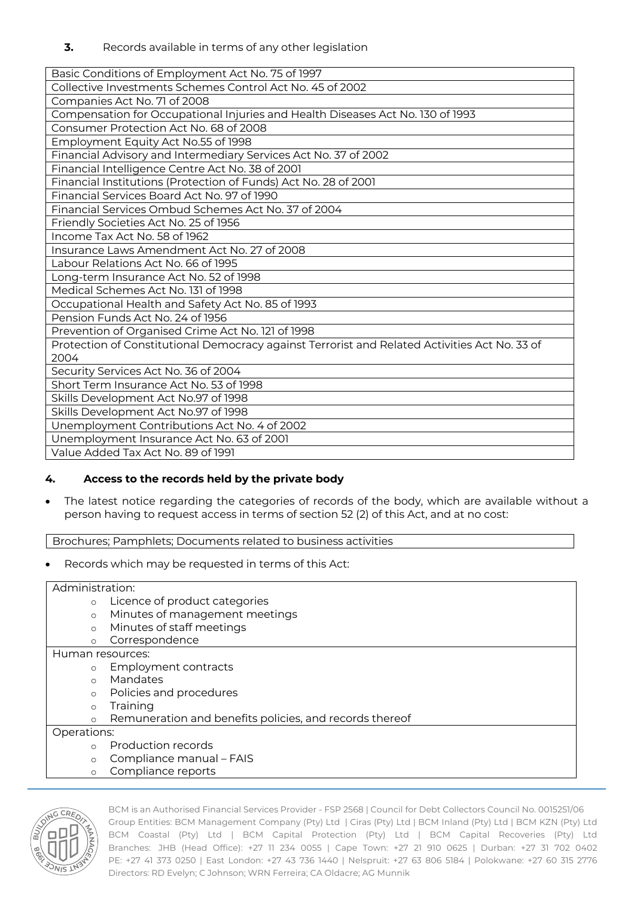**3.** Records available in terms of any other legislation

| Basic Conditions of Employment Act No. 75 of 1997                                             |
|-----------------------------------------------------------------------------------------------|
| Collective Investments Schemes Control Act No. 45 of 2002                                     |
| Companies Act No. 71 of 2008                                                                  |
| Compensation for Occupational Injuries and Health Diseases Act No. 130 of 1993                |
| Consumer Protection Act No. 68 of 2008                                                        |
| Employment Equity Act No.55 of 1998                                                           |
| Financial Advisory and Intermediary Services Act No. 37 of 2002                               |
| Financial Intelligence Centre Act No. 38 of 2001                                              |
| Financial Institutions (Protection of Funds) Act No. 28 of 2001                               |
| Financial Services Board Act No. 97 of 1990                                                   |
| Financial Services Ombud Schemes Act No. 37 of 2004                                           |
| Friendly Societies Act No. 25 of 1956                                                         |
| Income Tax Act No. 58 of 1962                                                                 |
| Insurance Laws Amendment Act No. 27 of 2008                                                   |
| Labour Relations Act No. 66 of 1995                                                           |
| Long-term Insurance Act No. 52 of 1998                                                        |
| Medical Schemes Act No. 131 of 1998                                                           |
| Occupational Health and Safety Act No. 85 of 1993                                             |
| Pension Funds Act No. 24 of 1956                                                              |
| Prevention of Organised Crime Act No. 121 of 1998                                             |
| Protection of Constitutional Democracy against Terrorist and Related Activities Act No. 33 of |
| 2004                                                                                          |
| Security Services Act No. 36 of 2004                                                          |
| Short Term Insurance Act No. 53 of 1998                                                       |
| Skills Development Act No.97 of 1998                                                          |
| Skills Development Act No.97 of 1998                                                          |
| Unemployment Contributions Act No. 4 of 2002                                                  |
| Unemployment Insurance Act No. 63 of 2001                                                     |
| Value Added Tax Act No. 89 of 1991                                                            |

#### **4. Access to the records held by the private body**

• The latest notice regarding the categories of records of the body, which are available without a person having to request access in terms of section 52 (2) of this Act, and at no cost:

#### Brochures; Pamphlets; Documents related to business activities

Records which may be requested in terms of this Act:

| Administration:  |                                                         |  |
|------------------|---------------------------------------------------------|--|
| $\circ$          | Licence of product categories                           |  |
| $\circ$          | Minutes of management meetings                          |  |
| $\circ$          | Minutes of staff meetings                               |  |
| $\circ$          | Correspondence                                          |  |
| Human resources: |                                                         |  |
| $\circ$          | Employment contracts                                    |  |
| $\Omega$         | Mandates                                                |  |
| $\circ$          | Policies and procedures                                 |  |
| $\circ$          | Training                                                |  |
| $\circ$          | Remuneration and benefits policies, and records thereof |  |
| Operations:      |                                                         |  |
| $\circ$          | Production records                                      |  |
| $\circ$          | Compliance manual - FAIS                                |  |
| $\circ$          | Compliance reports                                      |  |
|                  |                                                         |  |

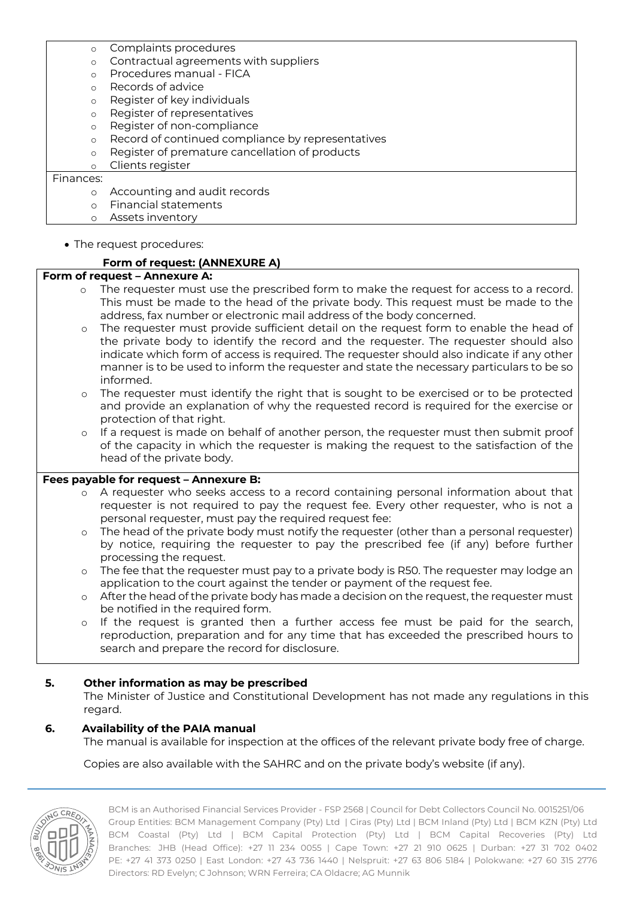- o Complaints procedures
- o Contractual agreements with suppliers
- o Procedures manual FICA
- o Records of advice
- o Register of key individuals
- o Register of representatives
- o Register of non-compliance
- o Record of continued compliance by representatives
- o Register of premature cancellation of products
- o Clients register

### Finances:

- o Accounting and audit records
- o Financial statements
- o Assets inventory
- The request procedures:

# **Form of request: (ANNEXURE A)**

### **Form of request – Annexure A:**

- o The requester must use the prescribed form to make the request for access to a record. This must be made to the head of the private body. This request must be made to the address, fax number or electronic mail address of the body concerned.
- o The requester must provide sufficient detail on the request form to enable the head of the private body to identify the record and the requester. The requester should also indicate which form of access is required. The requester should also indicate if any other manner is to be used to inform the requester and state the necessary particulars to be so informed.
- o The requester must identify the right that is sought to be exercised or to be protected and provide an explanation of why the requested record is required for the exercise or protection of that right.
- o If a request is made on behalf of another person, the requester must then submit proof of the capacity in which the requester is making the request to the satisfaction of the head of the private body.

#### **Fees payable for request – Annexure B:**

- o A requester who seeks access to a record containing personal information about that requester is not required to pay the request fee. Every other requester, who is not a personal requester, must pay the required request fee:
- o The head of the private body must notify the requester (other than a personal requester) by notice, requiring the requester to pay the prescribed fee (if any) before further processing the request.
- o The fee that the requester must pay to a private body is R50. The requester may lodge an application to the court against the tender or payment of the request fee.
- o After the head of the private body has made a decision on the request, the requester must be notified in the required form.
- o If the request is granted then a further access fee must be paid for the search, reproduction, preparation and for any time that has exceeded the prescribed hours to search and prepare the record for disclosure.

# **5. Other information as may be prescribed**

The Minister of Justice and Constitutional Development has not made any regulations in this regard.

# **6. Availability of the PAIA manual**

The manual is available for inspection at the offices of the relevant private body free of charge.

Copies are also available with the SAHRC and on the private body's website (if any).

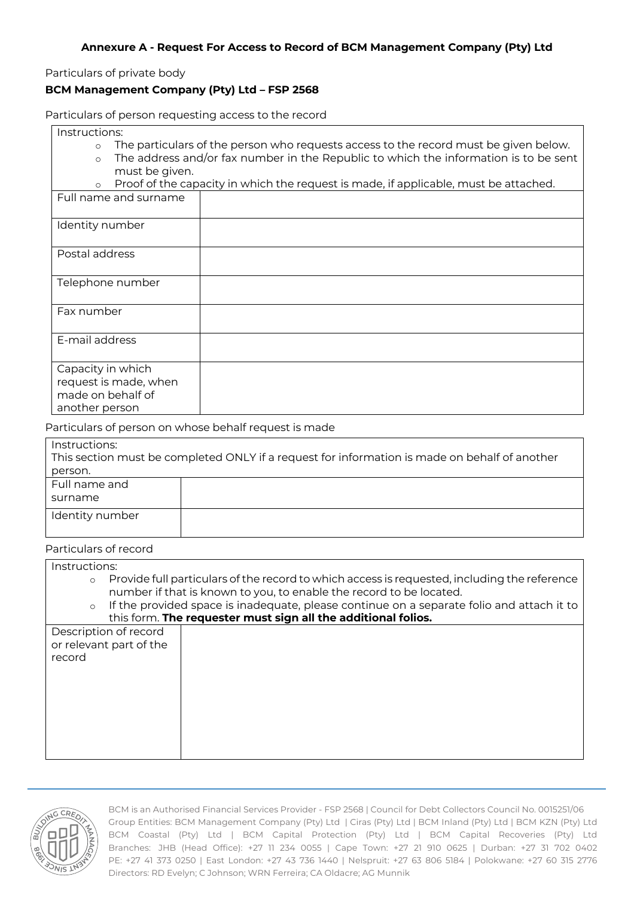Particulars of private body

### **BCM Management Company (Pty) Ltd – FSP 2568**

Particulars of person requesting access to the record

| Instructions: |                                                                                                                                                                                |  |
|---------------|--------------------------------------------------------------------------------------------------------------------------------------------------------------------------------|--|
|               | The particulars of the person who requests access to the record must be given below.<br>o The address and/or fax number in the Republic to which the information is to be sent |  |
|               | must be given.                                                                                                                                                                 |  |

| $\circ$                                                                           | Proof of the capacity in which the request is made, if applicable, must be attached. |
|-----------------------------------------------------------------------------------|--------------------------------------------------------------------------------------|
| Full name and surname                                                             |                                                                                      |
| Identity number                                                                   |                                                                                      |
| Postal address                                                                    |                                                                                      |
| Telephone number                                                                  |                                                                                      |
| Fax number                                                                        |                                                                                      |
| E-mail address                                                                    |                                                                                      |
| Capacity in which<br>request is made, when<br>made on behalf of<br>another person |                                                                                      |

Particulars of person on whose behalf request is made

| Instructions:<br>person. | This section must be completed ONLY if a request for information is made on behalf of another |
|--------------------------|-----------------------------------------------------------------------------------------------|
| Full name and<br>surname |                                                                                               |
| Identity number          |                                                                                               |

#### Particulars of record

| Instructions: |                                                                                                                                                                     |
|---------------|---------------------------------------------------------------------------------------------------------------------------------------------------------------------|
| $\circ$       | Provide full particulars of the record to which access is requested, including the reference<br>number if that is known to you, to enable the record to be located. |
| $\circ$       | If the provided space is inadequate, please continue on a separate folio and attach it to                                                                           |
|               | this form. The requester must sign all the additional folios.                                                                                                       |
| record        | Description of record<br>or relevant part of the                                                                                                                    |

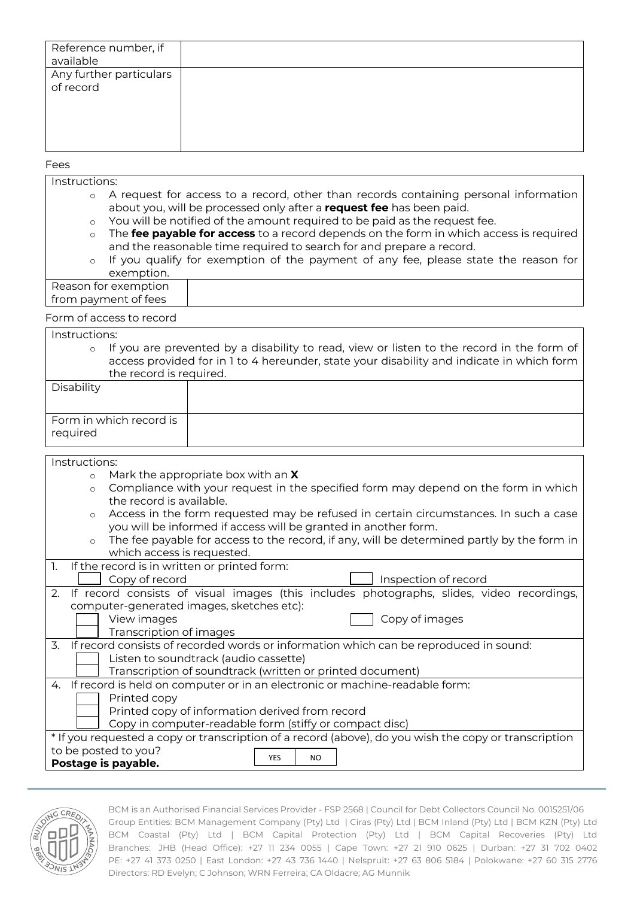| Reference number, if<br>available    |  |
|--------------------------------------|--|
| Any further particulars<br>of record |  |

#### Fees

Instructions:

- o A request for access to a record, other than records containing personal information about you, will be processed only after a **request fee** has been paid.
- o You will be notified of the amount required to be paid as the request fee.
- o The **fee payable for access** to a record depends on the form in which access is required and the reasonable time required to search for and prepare a record.
- o If you qualify for exemption of the payment of any fee, please state the reason for exemption.

| Reason for exemption |  |
|----------------------|--|
| from payment of fees |  |
|                      |  |

#### Form of access to record

Instructions:

o If you are prevented by a disability to read, view or listen to the record in the form of access provided for in 1 to 4 hereunder, state your disability and indicate in which form the record is required.

| Disability                          |  |
|-------------------------------------|--|
| Form in which record is<br>required |  |

#### Instructions:

- o Mark the appropriate box with an **X**
- o Compliance with your request in the specified form may depend on the form in which the record is available.
- o Access in the form requested may be refused in certain circumstances. In such a case you will be informed if access will be granted in another form.

| The fee payable for access to the record, if any, will be determined partly by the form in |
|--------------------------------------------------------------------------------------------|
| which access is requested.                                                                 |
| $\pm$ the recent is in written er printed ferm:                                            |

|                                                                                                       | If the record is in written or printed form:                                                 |  |  |  |  |  |
|-------------------------------------------------------------------------------------------------------|----------------------------------------------------------------------------------------------|--|--|--|--|--|
|                                                                                                       | Copy of record<br>Inspection of record                                                       |  |  |  |  |  |
|                                                                                                       | 2. If record consists of visual images (this includes photographs, slides, video recordings, |  |  |  |  |  |
|                                                                                                       | computer-generated images, sketches etc):                                                    |  |  |  |  |  |
|                                                                                                       | View images<br>Copy of images                                                                |  |  |  |  |  |
|                                                                                                       | Transcription of images                                                                      |  |  |  |  |  |
|                                                                                                       | 3. If record consists of recorded words or information which can be reproduced in sound:     |  |  |  |  |  |
|                                                                                                       | Listen to soundtrack (audio cassette)                                                        |  |  |  |  |  |
|                                                                                                       | Transcription of soundtrack (written or printed document)                                    |  |  |  |  |  |
|                                                                                                       | 4. If record is held on computer or in an electronic or machine-readable form:               |  |  |  |  |  |
|                                                                                                       | Printed copy                                                                                 |  |  |  |  |  |
|                                                                                                       | Printed copy of information derived from record                                              |  |  |  |  |  |
|                                                                                                       | Copy in computer-readable form (stiffy or compact disc)                                      |  |  |  |  |  |
| * If you requested a copy or transcription of a record (above), do you wish the copy or transcription |                                                                                              |  |  |  |  |  |
| to be posted to you?                                                                                  |                                                                                              |  |  |  |  |  |
| <b>YES</b><br>NO.<br>Postage is payable.                                                              |                                                                                              |  |  |  |  |  |

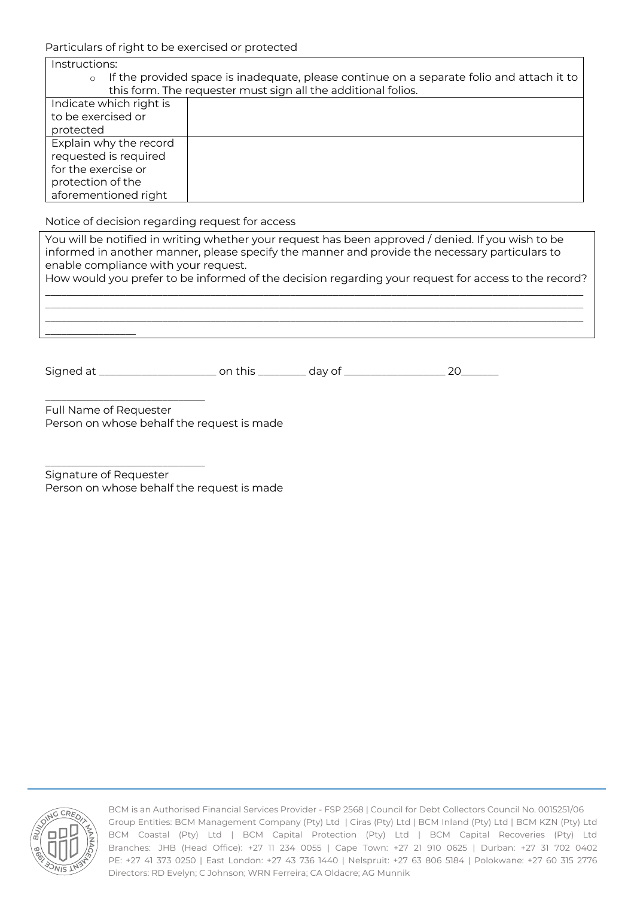Instructions:

o If the provided space is inadequate, please continue on a separate folio and attach it to this form. The requester must sign all the additional folios.

| Indicate which right is |  |  |  |  |  |
|-------------------------|--|--|--|--|--|
| to be exercised or      |  |  |  |  |  |
| protected               |  |  |  |  |  |
| Explain why the record  |  |  |  |  |  |
| requested is required   |  |  |  |  |  |
| for the exercise or     |  |  |  |  |  |
| protection of the       |  |  |  |  |  |
| aforementioned right    |  |  |  |  |  |

# Notice of decision regarding request for access

| You will be notified in writing whether your request has been approved / denied. If you wish to be<br>informed in another manner, please specify the manner and provide the necessary particulars to<br>enable compliance with your request. |
|----------------------------------------------------------------------------------------------------------------------------------------------------------------------------------------------------------------------------------------------|
| How would you prefer to be informed of the decision regarding your request for access to the record?                                                                                                                                         |
|                                                                                                                                                                                                                                              |

| Signe<br>$\cdot$ . |  | ີ |  |
|--------------------|--|---|--|
|--------------------|--|---|--|

\_\_\_\_\_\_\_\_\_\_\_\_\_\_\_\_\_\_\_\_\_\_\_\_\_\_\_\_\_\_ Full Name of Requester Person on whose behalf the request is made

Signature of Requester Person on whose behalf the request is made

\_\_\_\_\_\_\_\_\_\_\_\_\_\_\_\_\_\_\_\_\_\_\_\_\_\_\_\_\_\_